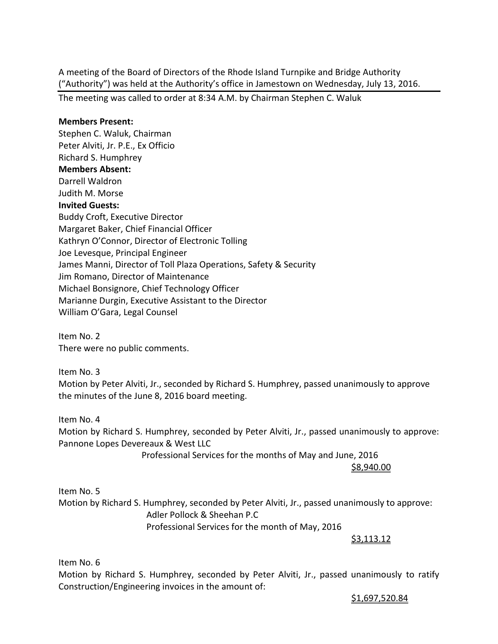A meeting of the Board of Directors of the Rhode Island Turnpike and Bridge Authority ("Authority") was held at the Authority's office in Jamestown on Wednesday, July 13, 2016.

The meeting was called to order at 8:34 A.M. by Chairman Stephen C. Waluk

#### **Members Present:**

Stephen C. Waluk, Chairman Peter Alviti, Jr. P.E., Ex Officio Richard S. Humphrey **Members Absent:**  Darrell Waldron Judith M. Morse **Invited Guests:** Buddy Croft, Executive Director Margaret Baker, Chief Financial Officer Kathryn O'Connor, Director of Electronic Tolling Joe Levesque, Principal Engineer James Manni, Director of Toll Plaza Operations, Safety & Security Jim Romano, Director of Maintenance Michael Bonsignore, Chief Technology Officer Marianne Durgin, Executive Assistant to the Director William O'Gara, Legal Counsel

Item No. 2 There were no public comments.

Item No. 3 Motion by Peter Alviti, Jr., seconded by Richard S. Humphrey, passed unanimously to approve the minutes of the June 8, 2016 board meeting.

Item No. 4 Motion by Richard S. Humphrey, seconded by Peter Alviti, Jr., passed unanimously to approve: Pannone Lopes Devereaux & West LLC

Professional Services for the months of May and June, 2016

\$8,940.00

Item No. 5 Motion by Richard S. Humphrey, seconded by Peter Alviti, Jr., passed unanimously to approve: Adler Pollock & Sheehan P.C Professional Services for the month of May, 2016

\$3,113.12

Item No. 6

Motion by Richard S. Humphrey, seconded by Peter Alviti, Jr., passed unanimously to ratify Construction/Engineering invoices in the amount of:

\$1,697,520.84